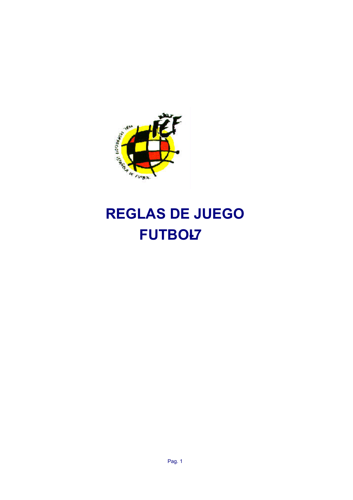

# **REGLAS DE JUEGO FUTBOL7**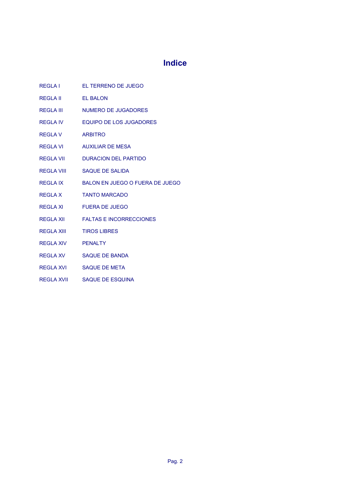## **Indice**

|                         | REGLA I EL TERRENO DE JUEGO       |
|-------------------------|-----------------------------------|
| REGLA II EL BALON       |                                   |
|                         | REGLA III MUMERO DE JUGADORES     |
|                         | REGLA IV FOUIPO DE LOS JUGADORES  |
| REGLA V ARBITRO         |                                   |
|                         | REGLA VI AUXILIAR DE MESA         |
|                         | REGLA VII DURACION DEL PARTIDO    |
|                         | REGLA VIII SAQUE DE SALIDA        |
| REGLA IX                | BALON EN JUEGO O FUERA DE JUEGO   |
|                         | REGLA X TANTO MARCADO             |
|                         | REGLA XI FUERA DE JUEGO           |
|                         | REGLA XII FALTAS E INCORRECCIONES |
| REGLA XIII TIROS LIBRES |                                   |
| REGLA XIV               | <b>PENALTY</b>                    |
|                         | REGLA XV SAQUE DE BANDA           |
|                         | REGLA XVI SAQUE DE META           |

REGLA XVII SAQUE DE ESQUINA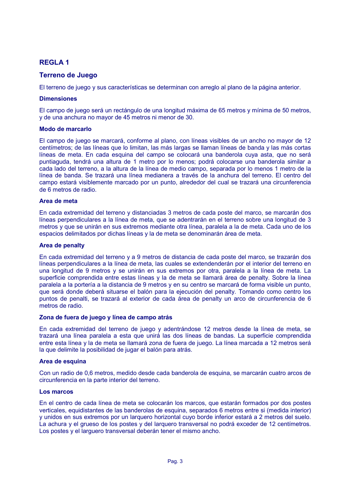## **REGLA1**

## **Terreno de Juego**

El terreno de juego y sus características se determinan con arreglo al plano de la página anterior.

#### **Dimensiones**

El campo de juego será un rectángulo de una longitud máxima de 65 metros y mínima de 50 metros, y de una anchura no mayor de 45 metros ni menor de 30.

#### **Modo de marcarlo**

El campo de juego se marcará, conforme al plano, con líneas visibles de un ancho no mayor de 12 centímetros; de las líneas que lo limitan, las más largas se llaman líneas de banda y las más cortas líneas de meta. En cada esquina del campo se colocará una banderola cuya asta, que no será puntiaguda, tendrá una altura de 1 metro por lo menos; podrá colocarse una banderola similar a cada lado del terreno, a la altura de la línea de medio campo, separada por lo menos 1 metro de la línea de banda. Se trazará una línea medianera a través de la anchura del terreno. El centro del campo estará visiblemente marcado por un punto, alrededor del cual se trazará una circunferencia de 6 metros de radio.

#### Area de meta

En cada extremidad del terreno y distanciadas 3 metros de cada poste del marco, se marcarán dos líneas perpendiculares a la línea de meta, que se adentrarán en el terreno sobre una longitud de 3 metros y que se unirán en sus extremos mediante otra línea, paralela a la de meta. Cada uno de los espacios delimitados por dichas líneas y la de meta se denominarán área de meta.

#### Area de penalty

En cada extremidad del terreno y a 9 metros de distancia de cada poste del marco, se trazarán dos líneas perpendiculares a la línea de meta, las cuales se extendenderán por el interior del terreno en una longitud de 9 metros y se unirán en sus extremos por otra, paralela a la línea de meta. La superficie comprendida entre estas líneas y la de meta se llamará área de penalty. Sobre la línea paralela a la portería a la distancia de 9 metros y en su centro se marcará de forma visible un punto. que será donde deberá situarse el balón para la ejecución del penalty. Tomando como centro los puntos de penalti, se trazará al exterior de cada área de penalty un arco de circunferencia de 6 metros de radio

#### Zona de fuera de juego y línea de campo atrás

En cada extremidad del terreno de juego y adentrándose 12 metros desde la línea de meta, se trazará una línea paralela a esta que unirá las dos líneas de bandas. La superficie comprendida entre esta línea y la de meta se llamará zona de fuera de juego. La línea marcada a 12 metros será la que delimite la posibilidad de jugar el balón para atrás.

#### Area de esquina

Con un radio de 0,6 metros, medido desde cada banderola de esquina, se marcarán cuatro arcos de circunferencia en la parte interior del terreno.

#### Los marcos

En el centro de cada línea de meta se colocarán los marcos, que estarán formados por dos postes verticales, equidistantes de las banderolas de esquina, separados 6 metros entre si (medida interior) y unidos en sus extremos por un larquero horizontal cuyo borde inferior estará a 2 metros del suelo. La achura y el grueso de los postes y del larquero transversal no podrá exceder de 12 centímetros. Los postes y el larguero transversal deberán tener el mismo ancho.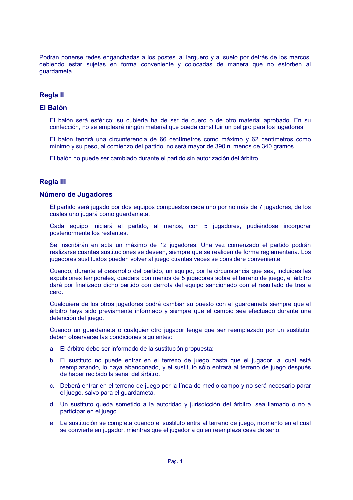Podrán ponerse redes enganchadas a los postes, al larguero y al suelo por detrás de los marcos, debiendo estar sujetas en forma conveniente y colocadas de manera que no estorben al quardameta.

## **Regla II**

## **FI Balón**

El balón será esférico; su cubierta ha de ser de cuero o de otro material aprobado. En su confección, no se empleará ningún material que pueda constituir un peligro para los jugadores.

El balón tendrá una circunferencia de 66 centímetros como máximo y 62 centímetros como mínimo y su peso, al comienzo del partido, no será mayor de 390 ni menos de 340 gramos.

El balón no puede ser cambiado durante el partido sin autorización del árbitro.

## **Regla III**

#### Número de Jugadores

El partido será jugado por dos equipos compuestos cada uno por no más de 7 jugadores, de los cuales uno jugará como guardameta.

Cada equipo iniciará el partido, al menos, con 5 jugadores, pudiéndose incorporar posteriormente los restantes.

Se inscribirán en acta un máximo de 12 jugadores. Una vez comenzado el partido podrán realizarse cuantas sustituciones se deseen, siempre que se realicen de forma reglamentaria. Los jugadores sustituidos pueden volver al juego cuantas veces se considere conveniente.

Cuando, durante el desarrollo del partido, un equipo, por la circunstancia que sea, incluidas las expulsiones temporales, quedara con menos de 5 jugadores sobre el terreno de juego, el árbitro dará por finalizado dicho partido con derrota del equipo sancionado con el resultado de tres a cero

Cualquiera de los otros jugadores podrá cambiar su puesto con el guardameta siempre que el árbitro haya sido previamente informado y siempre que el cambio sea efectuado durante una detención del juego.

Cuando un guardameta o cualquier otro jugador tenga que ser reemplazado por un sustituto, deben observarse las condiciones siguientes:

- a. El árbitro debe ser informado de la sustitución propuesta:
- b. El sustituto no puede entrar en el terreno de juego hasta que el jugador, al cual está reemplazando, lo haya abandonado, y el sustituto sólo entrará al terreno de juego después de haber recibido la señal del árbitro.
- c. Deberá entrar en el terreno de juego por la línea de medio campo y no será necesario parar el juego, salvo para el guardameta.
- d. Un sustituto queda sometido a la autoridad y jurisdicción del árbitro, sea llamado o no a participar en el juego.
- e. La sustitución se completa cuando el sustituto entra al terreno de juego, momento en el cual se convierte en jugador, mientras que el jugador a quien reemplaza cesa de serlo.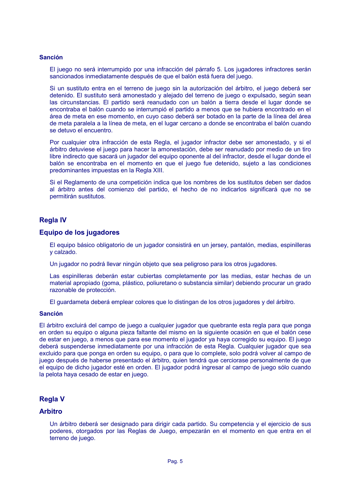#### Sanción

El juego no será interrumpido por una infracción del párrafo 5. Los jugadores infractores serán sancionados inmediatamente después de que el balón está fuera del juego.

Si un sustituto entra en el terreno de juego sin la autorización del árbitro, el juego deberá ser detenido. El sustituto será amonestado y alejado del terreno de juego o expulsado, según sean las circunstancias. El partido será reanudado con un balón a tierra desde el lugar donde se encontraba el balón cuando se interrumpió el partido a menos que se hubiera encontrado en el área de meta en ese momento, en cuyo caso deberá ser botado en la parte de la línea del área de meta paralela a la línea de meta, en el lugar cercano a donde se encontraba el balón cuando se detuvo el encuentro.

Por cualquier otra infracción de esta Regla, el jugador infractor debe ser amonestado, y si el árbitro detuviese el juego para hacer la amonestación, debe ser reanudado por medio de un tiro libre indirecto que sacará un jugador del equipo oponente al del infractor, desde el lugar donde el balón se encontraba en el momento en que el juego fue detenido, sujeto a las condiciones predominantes impuestas en la Regla XIII.

Si el Reglamento de una competición indica que los nombres de los sustitutos deben ser dados al árbitro antes del comienzo del partido, el hecho de no indicarlos significará que no se permitirán sustitutos.

#### **Regla IV**

#### Equipo de los jugadores

El equipo básico obligatorio de un jugador consistirá en un jersey, pantalón, medias, espinilleras y calzado.

Un jugador no podrá llevar ningún objeto que sea peligroso para los otros jugadores.

Las espinilleras deberán estar cubiertas completamente por las medias, estar hechas de un material apropiado (goma, plástico, poliuretano o substancia similar) debiendo procurar un grado razonable de protección.

El guardameta deberá emplear colores que lo distingan de los otros jugadores y del árbitro.

#### **Sanción**

El árbitro excluirá del campo de juego a cualquier jugador que quebrante esta regla para que ponga en orden su equipo o alguna pieza faltante del mismo en la siguiente ocasión en que el balón cese de estar en juego, a menos que para ese momento el jugador ya haya corregido su equipo. El juego deberá suspenderse inmediatamente por una infracción de esta Regla. Cualquier jugador que sea excluido para que ponga en orden su equipo, o para que lo complete, solo podrá volver al campo de juego después de haberse presentado el árbitro, quien tendrá que cerciorase personalmente de que el equipo de dicho jugador esté en orden. El jugador podrá ingresar al campo de juego sólo cuando la pelota hava cesado de estar en juego.

#### **Regla V**

#### **Arbitro**

Un árbitro deberá ser designado para dirigir cada partido. Su competencia y el ejercicio de sus poderes, otorgados por las Reglas de Juego, empezarán en el momento en que entra en el terreno de juego.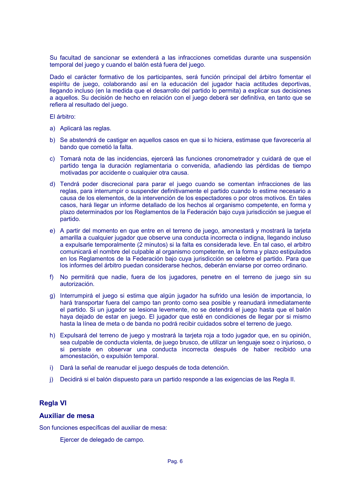Su facultad de sancionar se extenderá a las infracciones cometidas durante una suspensión temporal del juego y cuando el balón está fuera del juego.

Dado el carácter formativo de los participantes, será función principal del árbitro fomentar el espíritu de juego, colaborando así en la educación del jugador hacia actitudes deportivas, llegando incluso (en la medida que el desarrollo del partido lo permita) a explicar sus decisiones a aquellos. Su decisión de hecho en relación con el juego deberá ser definitiva, en tanto que se refiera al resultado del juego.

El árbitro:

- a) Aplicará las reglas.
- b) Se abstendrá de castigar en aquellos casos en que si lo hiciera, estimase que favorecería al bando que cometió la falta.
- c) Tomará nota de las incidencias, ejercerá las funciones cronometrador y cuidará de que el partido tenga la duración reglamentaria o convenida, añadiendo las pérdidas de tiempo motivadas por accidente o cualquier otra causa.
- d) Tendrá poder discrecional para parar el juego cuando se comentan infracciones de las reglas, para interrumpir o suspender definitivamente el partido cuando lo estime necesario a causa de los elementos, de la intervención de los espectadores o por otros motivos. En tales casos, hará llegar un informe detallado de los hechos al organismo competente, en forma y plazo determinados por los Reglamentos de la Federación bajo cuya jurisdicción se juegue el partido.
- e) A partir del momento en que entre en el terreno de juego, amonestará y mostrará la tarjeta amarilla a cualquier jugador que observe una conducta incorrecta o indigna, llegando incluso a expulsarle temporalmente (2 minutos) si la falta es considerada leve. En tal caso, el arbitro comunicará el nombre del culpable al organismo competente, en la forma y plazo estipulados en los Reglamentos de la Federación bajo cuya jurisdicción se celebre el partido. Para que los informes del árbitro puedan considerarse hechos, deberán enviarse por correo ordinario.
- f) No permitirá que nadie, fuera de los jugadores, penetre en el terreno de juego sin su autorización.
- g) Interrumpirá el juego si estima que algún jugador ha sufrido una lesión de importancia, lo hará transportar fuera del campo tan pronto como sea posible y reanudará inmediatamente el partido. Si un jugador se lesiona levemente, no se detendrá el juego hasta que el balón haya dejado de estar en juego. El jugador que esté en condiciones de llegar por si mismo hasta la línea de meta o de banda no podrá recibir cuidados sobre el terreno de juego.
- h) Expulsará del terreno de juego y mostrará la tarjeta roja a todo jugador que, en su opinión, sea culpable de conducta violenta, de juego brusco, de utilizar un lenguaje soez o injurioso, o si persiste en observar una conducta incorrecta después de haber recibido una amonestación, o expulsión temporal.
- i) Dará la señal de reanudar el juego después de toda detención.
- j) Decidirá si el balón dispuesto para un partido responde a las exigencias de las Regla II.

## **Regla VI**

#### **Auxiliar de mesa**

Son funciones específicas del auxiliar de mesa:

Ejercer de delegado de campo.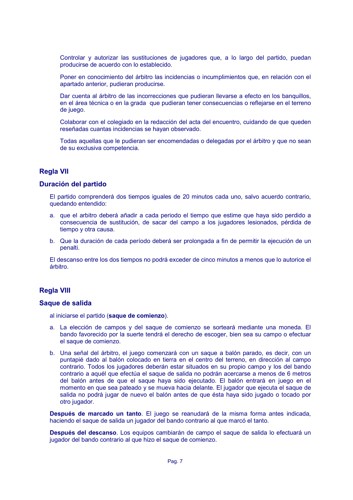Controlar y autorizar las sustituciones de jugadores que, a lo largo del partido, puedan producirse de acuerdo con lo establecido.

Poner en conocimiento del árbitro las incidencias o incumplimientos que, en relación con el apartado anterior, pudieran producirse.

Dar cuenta al árbitro de las incorrecciones que pudieran llevarse a efecto en los banquillos, en el área técnica o en la grada que pudieran tener consecuencias o reflejarse en el terreno de juego.

Colaborar con el colegiado en la redacción del acta del encuentro, cuidando de que queden reseñadas cuantas incidencias se havan observado.

Todas aquellas que le pudieran ser encomendadas o delegadas por el árbitro y que no sean de su exclusiva competencia.

## **Regla VII**

#### Duración del partido

El partido comprenderá dos tiempos iguales de 20 minutos cada uno, salvo acuerdo contrario, quedando entendido:

- a. que el arbitro deberá añadir a cada periodo el tiempo que estime que haya sido perdido a consecuencia de sustitución, de sacar del campo a los jugadores lesionados, pérdida de tiempo y otra causa.
- b. Que la duración de cada período deberá ser prolongada a fin de permitir la ejecución de un penalti.

El descanso entre los dos tiempos no podrá exceder de cinco minutos a menos que lo autorice el árbitro.

## **Regla VIII**

#### Saque de salida

al iniciarse el partido (saque de comienzo).

- a. La elección de campos y del saque de comienzo se sorteará mediante una moneda. El bando favorecido por la suerte tendrá el derecho de escoger, bien sea su campo o efectuar el saque de comienzo.
- b. Una señal del árbitro, el juego comenzará con un saque a balón parado, es decir, con un puntapié dado al balón colocado en tierra en el centro del terreno, en dirección al campo contrario. Todos los jugadores deberán estar situados en su propio campo y los del bando contrario a aquél que efectúa el saque de salida no podrán acercarse a menos de 6 metros del balón antes de que el sague haya sido ejecutado. El balón entrará en juego en el momento en que sea pateado y se mueva hacia delante. El jugador que ejecuta el saque de salida no podrá jugar de nuevo el balón antes de que ésta hava sido jugado o tocado por otro jugador.

Después de marcado un tanto. El juego se reanudará de la misma forma antes indicada, haciendo el saque de salida un jugador del bando contrario al que marcó el tanto.

Después del descanso. Los equipos cambiarán de campo el saque de salida lo efectuará un jugador del bando contrario al que hizo el saque de comienzo.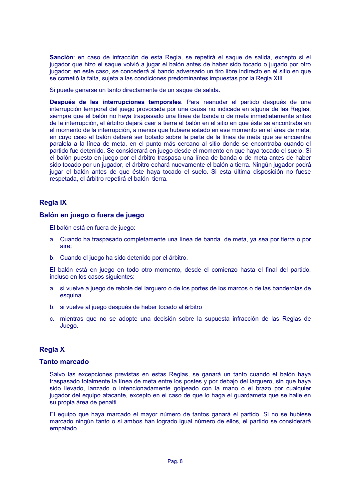Sanción: en caso de infracción de esta Regla, se repetirá el sague de salida, excepto si el jugador que hizo el saque volvió a jugar el balón antes de haber sido tocado o jugado por otro jugador; en este caso, se concederá al bando adversario un tiro libre indirecto en el sitio en que se cometió la falta, sujeta a las condiciones predominantes impuestas por la Regla XIII.

Si puede ganarse un tanto directamente de un saque de salida.

Después de les interrupciones temporales. Para reanudar el partido después de una interrupción temporal del juego provocada por una causa no indicada en alguna de las Reglas, siempre que el balón no haya traspasado una línea de banda o de meta inmediatamente antes de la interrupción, el árbitro dejará caer a tierra el balón en el sitio en que éste se encontraba en el momento de la interrupción, a menos que hubiera estado en ese momento en el área de meta. en cuyo caso el balón deberá ser botado sobre la parte de la línea de meta que se encuentra paralela a la línea de meta, en el punto más cercano al sitio donde se encontraba cuando el partido fue detenido. Se considerará en juego desde el momento en que haya tocado el suelo. Si el balón puesto en juego por el árbitro traspasa una línea de banda o de meta antes de haber sido tocado por un jugador, el árbitro echará nuevamente el balón a tierra. Ningún jugador podrá jugar el balón antes de que éste haya tocado el suelo. Si esta última disposición no fuese respetada, el árbitro repetirá el balón tierra.

## **Regla IX**

#### Balón en juego o fuera de juego

El balón está en fuera de juego:

- a. Cuando ha traspasado completamente una línea de banda de meta, ya sea por tierra o por aire:
- b. Cuando el juego ha sido detenido por el árbitro.

El balón está en juego en todo otro momento, desde el comienzo hasta el final del partido, incluso en los casos siguientes:

- a. si vuelve a juego de rebote del larguero o de los portes de los marcos o de las banderolas de esquina
- b. si vuelve al juego después de haber tocado al árbitro
- c. mientras que no se adopte una decisión sobre la supuesta infracción de las Reglas de Juego.

## **Regla X**

#### **Tanto marcado**

Salvo las excepciones previstas en estas Reglas, se ganará un tanto cuando el balón haya traspasado totalmente la línea de meta entre los postes y por debaio del larguero, sin que hava sido llevado, lanzado o intencionadamente golpeado con la mano o el brazo por cualquier jugador del equipo atacante, excepto en el caso de que lo haga el guardameta que se halle en su propia área de penalti.

El equipo que hava marcado el mayor número de tantos ganará el partido. Si no se hubiese marcado ningún tanto o si ambos han logrado igual número de ellos, el partido se considerará empatado.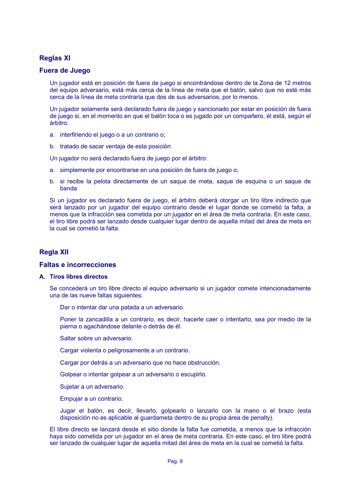## **Reglas XI**

#### **Fuera de Juego**

Un jugador está en posición de fuera de juego si encontrándose dentro de la Zona de 12 metros del equipo adversario, está más cerca de la línea de meta que el balón, salvo que no esté más cerca de la línea de meta contraria que dos de sus adversarios, por lo menos.

Un jugador solamente será declarado fuera de juego y sancionado por estar en posición de fuera de juego si, en el momento en que el balón toca o es jugado por un compañero, él está, según el árbitro:

- a. interfiriendo el juego o a un contrario o:
- b. tratado de sacar ventaja de esta posición

Un jugador no será declarado fuera de juego por el árbitro:

- a. simplemente por encontrarse en una posición de fuera de juego o:
- b. si recibe la pelota directamente de un saque de meta, saque de esquina o un saque de **banda**

Si un jugador es declarado fuera de juego, el árbitro deberá otorgar un tiro libre indirecto que será lanzado por un jugador del equipo contrario desde el lugar donde se cometió la falta, a menos que la infracción sea cometida por un jugador en el área de meta contraria. En este caso, el tiro libre podrá ser lanzado desde cualquier lugar dentro de aquella mitad del área de meta en la cual se cometió la falta.

## **Regla XII**

#### **Faltas e incorrecciones**

#### A. Tiros libres directos

Se concederá un tiro libre directo al equipo adversario si un jugador comete intencionadamente una de las nueve faltas siguientes:

Dar o intentar dar una patada a un adversario.

Poner la zancadilla a un contrario, es decir, hacerle caer o intentarlo, sea por medio de la pierna o agachándose delante o detrás de él.

- Saltar sobre un adversario.
- Cargar violenta o peligrosamente a un contrario.
- Cargar por detrás a un adversario que no hace obstrucción.
- Golpear o intentar golpear a un adversario o escupirlo.
- Sujetar a un adversario.
- Empujar a un contrario.

Jugar el balón, es decir, llevarlo, golpearlo o lanzarlo con la mano o el brazo (esta disposición no es aplicable al guardameta dentro de su propia área de penalty).

El libre directo se lanzará desde el sitio donde la falta fue cometida, a menos que la infracción haya sido cometida por un jugador en el área de meta contraria. En este caso, el tiro libre podrá ser lanzado de cualquier lugar de aquella mitad del área de meta en la cual se cometió la falta.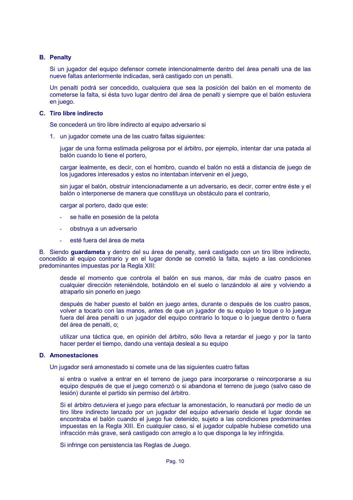#### **B.** Penalty

Si un jugador del equipo defensor comete intencionalmente dentro del área penalti una de las nueve faltas anteriormente indicadas, será castigado con un penalti.

Un penalti podrá ser concedido, cualquiera que sea la posición del balón en el momento de cometerse la falta, si ésta tuvo lugar dentro del área de penalti y siempre que el balón estuviera en iuego.

#### C. Tiro libre indirecto

Se concederá un tiro libre indirecto al equipo adversario si

1. un jugador comete una de las cuatro faltas siguientes:

jugar de una forma estimada peligrosa por el árbitro, por ejemplo, intentar dar una patada al balón cuando lo tiene el portero.

cargar lealmente, es decir, con el hombro, cuando el balón no está a distancia de juego de los jugadores interesados y estos no intentaban intervenir en el juego,

sin jugar el balón, obstruir intencionadamente a un adversario, es decir, correr entre éste y el balón o interponerse de manera que constituya un obstáculo para el contrario,

cargar al portero, dado que este:

- se halle en posesión de la pelota
- obstruva a un adversario
- esté fuera del área de meta

B. Siendo guardameta y dentro del su área de penalty, será castigado con un tiro libre indirecto, concedido al equipo contrario y en el lugar donde se cometió la falta, sujeto a las condiciones predominantes impuestas por la Regla XIII:

desde el momento que controla el balón en sus manos, dar más de cuatro pasos en cualquier dirección reteniéndole, botándolo en el suelo o lanzándolo al aire y volviendo a atraparlo sin ponerlo en juego

después de haber puesto el balón en juego antes, durante o después de los cuatro pasos, volver a tocarlo con las manos, antes de que un jugador de su equipo lo toque o lo juegue fuera del área penalti o un jugador del equipo contrario lo toque o lo jueque dentro o fuera del área de penalti, o:

utilizar una táctica que, en opinión del árbitro, sólo lleva a retardar el juego y por la tanto hacer perder el tiempo, dando una ventaja desleal a su equipo

#### **D.** Amonestaciones

Un jugador será amonestado si comete una de las siguientes cuatro faltas

si entra o vuelve a entrar en el terreno de juego para incorporarse o reincorporarse a su equipo después de que el juego comenzó o si abandona el terreno de juego (salvo caso de lesión) durante el partido sin permiso del árbitro.

Si el árbitro detuviera el juego para efectuar la amonestación, lo reanudará por medio de un tiro libre indirecto lanzado por un jugador del equipo adversario desde el lugar donde se encontraba el balón cuando el juego fue detenido, sujeto a las condiciones predominantes impuestas en la Regla XIII. En cualquier caso, si el jugador culpable hubiese cometido una infracción más grave, será castigado con arreglo a lo que disponga la ley infringida.

Si infringe con persistencia las Reglas de Juego.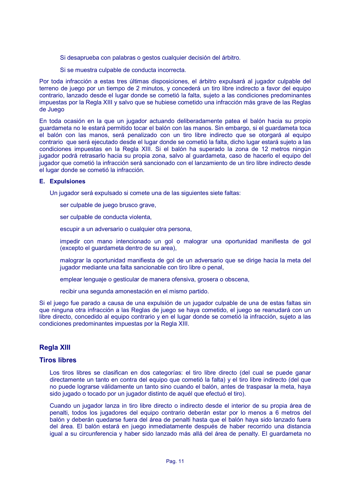- Si desaprueba con palabras o gestos cualquier decisión del árbitro.
- Si se muestra culpable de conducta incorrecta.

Por toda infracción a estas tres últimas disposiciones, el árbitro expulsará al jugador culpable del terreno de juego por un tiempo de 2 minutos, y concederá un tiro libre indirecto a favor del equipo contrario, lanzado desde el lugar donde se cometió la falta, sujeto a las condiciones predominantes impuestas por la Regla XIII y salvo que se hubiese cometido una infracción más grave de las Reglas de Juego

En toda ocasión en la que un jugador actuando deliberadamente patea el balón hacia su propio guardameta no le estará permitido tocar el balón con las manos. Sin embargo, si el guardameta toca el balón con las manos, será penalizado con un tiro libre indirecto que se otorgará al equipo contrario que será ejecutado desde el lugar donde se cometió la falta, dicho lugar estará sujeto a las condiciones impuestas en la Regla XIII. Si el balón ha superado la zona de 12 metros ningún jugador podrá retrasarlo hacia su propia zona, salvo al guardameta, caso de hacerlo el equipo del jugador que cometió la infracción será sancionado con el lanzamiento de un tiro libre indirecto desde el lugar donde se cometió la infracción.

#### **E.** Expulsiones

Un jugador será expulsado si comete una de las siguientes siete faltas:

ser culpable de juego brusco grave,

ser culpable de conducta violenta.

escupir a un adversario o cualquier otra persona,

impedir con mano intencionado un gol o malograr una oportunidad manifiesta de gol (excepto el quardameta dentro de su area).

malograr la oportunidad manifiesta de gol de un adversario que se dirige hacia la meta del jugador mediante una falta sancionable con tiro libre o penal,

emplear lenguaje o gesticular de manera ofensiva, grosera o obscena,

recibir una segunda amonestación en el mismo partido.

Si el juego fue parado a causa de una expulsión de un jugador culpable de una de estas faltas sin que ninguna otra infracción a las Reglas de juego se hava cometido, el juego se reanudará con un libre directo, concedido al equipo contrario y en el lugar donde se cometió la infracción, sujeto a las condiciones predominantes impuestas por la Regla XIII.

## **Regla XIII**

#### **Tiros libres**

Los tiros libres se clasifican en dos categorías: el tiro libre directo (del cual se puede ganar directamente un tanto en contra del equipo que cometió la falta) y el tiro libre indirecto (del que no puede lograrse válidamente un tanto sino cuando el balón, antes de traspasar la meta, haya sido jugado o tocado por un jugador distinto de aquél que efectuó el tiro).

Cuando un jugador lanza in tiro libre directo o indirecto desde el interior de su propia área de penalti, todos los jugadores del equipo contrario deberán estar por lo menos a 6 metros del balón y deberán quedarse fuera del área de penalti hasta que el balón haya sido lanzado fuera del área. El balón estará en juego inmediatamente después de haber recorrido una distancia igual a su circunferencia y haber sido lanzado más allá del área de penalty. El quardameta no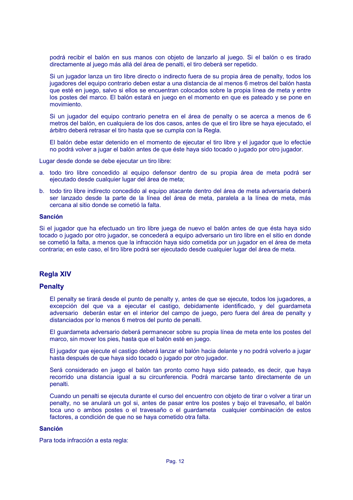podrá recibir el balón en sus manos con objeto de lanzarlo al juego. Si el balón o es tirado directamente al juego más allá del área de penalti, el tiro deberá ser repetido.

Si un jugador lanza un tiro libre directo o indirecto fuera de su propia área de penalty, todos los jugadores del equipo contrario deben estar a una distancia de al menos 6 metros del balón hasta que esté en juego, salvo si ellos se encuentran colocados sobre la propia línea de meta y entre los postes del marco. El balón estará en juego en el momento en que es pateado y se pone en movimiento.

Si un jugador del equipo contrario penetra en el área de penalty o se acerca a menos de 6 metros del balón, en cualquiera de los dos casos, antes de que el tiro libre se haya ejecutado, el árbitro deberá retrasar el tiro hasta que se cumpla con la Regla.

El balón debe estar detenido en el momento de ejecutar el tiro libre y el jugador que lo efectúe no podrá volver a jugar el balón antes de que éste haya sido tocado o jugado por otro jugador.

Lugar desde donde se debe ejecutar un tiro libre:

- a, todo tiro libre concedido al equipo defensor dentro de su propia área de meta podrá ser ejecutado desde cualquier lugar del área de meta;
- b. todo tiro libre indirecto concedido al equipo atacante dentro del área de meta adversaria deberá ser lanzado desde la parte de la línea del área de meta, paralela a la línea de meta, más cercana al sitio donde se cometió la falta.

#### **Sanción**

Si el jugador que ha efectuado un tiro libre juega de nuevo el balón antes de que ésta haya sido tocado o jugado por otro jugador, se concederá a equipo adversario un tiro libre en el sitio en donde se cometió la falta, a menos que la infracción haya sido cometida por un jugador en el área de meta contraria; en este caso, el tiro libre podrá ser ejecutado desde cualquier lugar del área de meta.

#### **Regla XIV**

#### **Penalty**

El penalty se tirará desde el punto de penalty y, antes de que se ejecute, todos los jugadores, a excepción del que va a ejecutar el castigo, debidamente identificado, y del guardameta adversario deberán estar en el interior del campo de juego, pero fuera del área de penalty y distanciados por lo menos 6 metros del punto de penalti.

El guardameta adversario deberá permanecer sobre su propia línea de meta ente los postes del marco, sin mover los pies, hasta que el balón esté en juego.

El jugador que ejecute el castigo deberá lanzar el balón hacia delante y no podrá volverlo a jugar hasta después de que haya sido tocado o jugado por otro jugador.

Será considerado en juego el balón tan pronto como haya sido pateado, es decir, que haya recorrido una distancia igual a su circunferencia. Podrá marcarse tanto directamente de un penalti.

Cuando un penalti se ejecuta durante el curso del encuentro con objeto de tirar o volver a tirar un penalty, no se anulará un gol si, antes de pasar entre los postes y bajo el travesaño, el balón toca uno o ambos postes o el travesaño o el quardameta cualquier combinación de estos factores, a condición de que no se haya cometido otra falta.

#### **Sanción**

Para toda infracción a esta regla: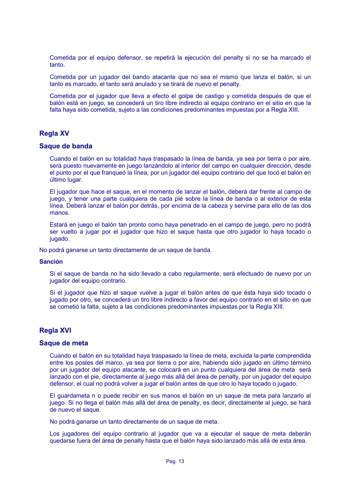Cometida por el equipo defensor, se repetirá la ejecución del penalty si no se ha marcado el tanto.

Cometida por un jugador del bando atacante que no sea el mismo que lanza el balón, si un tanto es marcado, el tanto será anulado y se tirará de nuevo el penalty.

Cometida por el jugador que lleva a efecto el golpe de castigo y cometida después de que el balón está en juego, se concederá un tiro libre indirecto al equipo contrario en el sitio en que la falta hava sido cometida, sujeto a las condiciones predominantes impuestas por a Regla XIII.

## **Reala XV**

#### Saque de banda

Cuando el balón en su totalidad haya traspasado la línea de banda, ya sea por tierra o por aire, será puesto nuevamente en juego lanzándolo al interior del campo en cualquier dirección, desde el punto por el que franqueó la línea, por un jugador del equipo contrario del que tocó el balón en último lugar.

El jugador que hace el sague, en el momento de lanzar el balón, deberá dar frente al campo de juego, y tener una parte cualquiera de cada pié sobre la línea de banda o al exterior de esta línea. Deberá lanzar el balón por detrás, por encima de la cabeza y servirse para ello de las dos manos.

Estará en juego el balón tan pronto como hava penetrado en el campo de juego, pero no podrá ser vuelto a jugar por el jugador que hizo el sague hasta que otro jugador lo hava tocado o jugado.

No podrá ganarse un tanto directamente de un saque de banda.

#### **Sanción**

Si el saque de banda no ha sido llevado a cabo regularmente, será efectuado de nuevo por un jugador del equipo contrario.

Si el jugador que hizo el sague vuelve a jugar el balón antes de que ésta haya sido tocado o jugado por otro, se concederá un tiro libre indirecto a favor del equipo contrario en el sitio en que se cometió la falta, sujeto a las condiciones predominantes impuestas por la Regla XIII.

## **Regla XVI**

#### Saque de meta

Cuando el balón en su totalidad haya traspasado la línea de meta, excluida la parte comprendida entre los postes del marco, ya sea por tierra o por aire, habiendo sido jugado en último término por un jugador del equipo atacante, se colocará en un punto cualquiera del área de meta será lanzado con el pie, directamente al juego más allá del área de penalty, por un jugador del equipo defensor, el cual no podrá volver a jugar el balón antes de que otro lo haya tocado o jugado.

El guardameta n o puede recibir en sus manos el balón en un sague de meta para lanzarlo al juego. Si no llega el balón más allá del área de penalty, es decir, directamente al juego, se hará de nuevo el saque.

No podrá ganarse un tanto directamente de un saque de meta.

Los jugadores del equipo contrario al jugador que va a ejecutar el sague de meta deberán quedarse fuera del área de penalty hasta que el balón haya sido lanzado más allá de esta área.